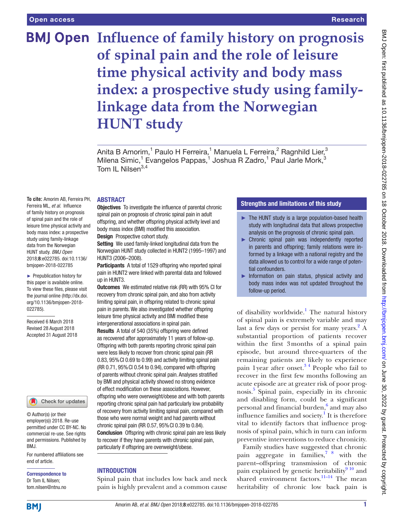## Research

# **BMJ Open Influence of family history on prognosis of spinal pain and the role of leisure time physical activity and body mass index: a prospective study using familylinkage data from the Norwegian HUNT study**

Anita B Amorim,<sup>1</sup> Paulo H Ferreira,<sup>1</sup> Manuela L Ferreira,<sup>2</sup> Ragnhild Lier,<sup>3</sup> Milena Simic,<sup>1</sup> Evangelos Pappas,<sup>1</sup> Joshua R Zadro,<sup>1</sup> Paul Jarle Mork,<sup>3</sup> Tom IL Nilsen $3,4$ 

## **ABSTRACT**

**To cite:** Amorim AB, Ferreira PH, Ferreira ML, *et al*. Influence of family history on prognosis of spinal pain and the role of leisure time physical activity and body mass index: a prospective study using family-linkage data from the Norwegian HUNT study. *BMJ Open* 2018;8:e022785. doi:10.1136/ bmjopen-2018-022785

► Prepublication history for this paper is available online. To view these files, please visit the journal online [\(http://dx.doi.](http://dx.doi.org/10.1136/bmjopen-2018-022785) [org/10.1136/bmjopen-2018-](http://dx.doi.org/10.1136/bmjopen-2018-022785) [022785\)](http://dx.doi.org/10.1136/bmjopen-2018-022785).

Received 6 March 2018 Revised 28 August 2018 Accepted 31 August 2018

#### Check for updates

© Author(s) (or their employer(s)) 2018. Re-use permitted under CC BY-NC. No commercial re-use. See rights and permissions. Published by BMJ.

For numbered affiliations see end of article.

Correspondence to Dr Tom IL Nilsen; tom.nilsen@ntnu.no

**Objectives** To investigate the influence of parental chronic spinal pain on prognosis of chronic spinal pain in adult offspring, and whether offspring physical activity level and body mass index (BMI) modified this association. **Design** Prospective cohort study.

Setting We used family-linked longitudinal data from the Norwegian HUNT study collected in HUNT2 (1995–1997) and HUNT3 (2006–2008).

Participants A total of 1529 offspring who reported spinal pain in HUNT2 were linked with parental data and followed up in HUNT3.

Outcomes We estimated relative risk (RR) with 95% CI for recovery from chronic spinal pain, and also from activity limiting spinal pain, in offspring related to chronic spinal pain in parents. We also investigated whether offspring leisure time physical activity and BMI modified these intergenerational associations in spinal pain.

Results A total of 540 (35%) offspring were defined as recovered after approximately 11 years of follow-up. Offspring with both parents reporting chronic spinal pain were less likely to recover from chronic spinal pain (RR 0.83, 95%CI 0.69 to 0.99) and activity limiting spinal pain (RR 0.71, 95%CI 0.54 to 0.94), compared with offspring of parents without chronic spinal pain. Analyses stratified by BMI and physical activity showed no strong evidence of effect modification on these associations. However, offspring who were overweight/obese and with both parents reporting chronic spinal pain had particularly low probability of recovery from activity limiting spinal pain, compared with those who were normal weight and had parents without chronic spinal pain (RR 0.57, 95%CI 0.39 to 0.84). Conclusion Offspring with chronic spinal pain are less likely to recover if they have parents with chronic spinal pain, particularly if offspring are overweight/obese.

# **INTRODUCTION**

Spinal pain that includes low back and neck pain is highly prevalent and a common cause

# Strengths and limitations of this study

- ► The HUNT study is a large population-based health study with longitudinal data that allows prospective analysis on the prognosis of chronic spinal pain.
- ► Chronic spinal pain was independently reported in parents and offspring; family relations were informed by a linkage with a national registry and the data allowed us to control for a wide range of potential confounders.
- ► Information on pain status, physical activity and body mass index was not updated throughout the follow-up period.

of disability worldwide.<sup>[1](#page-6-0)</sup> The natural history of spinal pain is extremely variable and may last a few days or persist for many years.<sup>[2](#page-6-1)</sup> A substantial proportion of patients recover within the first 3months of a spinal pain episode, but around three-quarters of the remaining patients are likely to experience pain 1year after onset.[3 4](#page-6-2) People who fail to recover in the first few months following an acute episode are at greater risk of poor prognosis.[5](#page-6-3) Spinal pain, especially in its chronic and disabling form, could be a significant personal and financial burden,<sup>[6](#page-6-4)</sup> and may also influence families and society.<sup>[1](#page-6-0)</sup> It is therefore vital to identify factors that influence prognosis of spinal pain, which in turn can inform preventive interventions to reduce chronicity.

Family studies have suggested that chronic pain aggregate in families,[7 8](#page-6-5) with the parent–offspring transmission of chronic pain explained by genetic heritability $9^{10}$  and shared environment factors.<sup>11-14</sup> The mean heritability of chronic low back pain is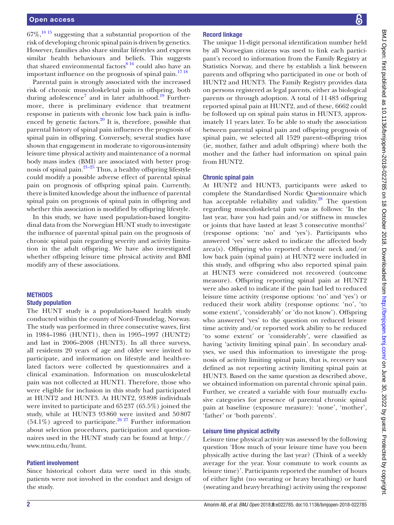$67\%$ ,  $^{10}$  15 suggesting that a substantial proportion of the risk of developing chronic spinal pain is driven by genetics. However, families also share similar lifestyles and express similar health behaviours and beliefs. This suggests that shared environmental factors<sup>8 16</sup> could also have an important influence on the prognosis of spinal pain. $1718$ 

Parental pain is strongly associated with the increased risk of chronic musculoskeletal pain in offspring, both during adolescence<sup>7</sup> and in later adulthood.<sup>[19](#page-6-11)</sup> Furthermore, there is preliminary evidence that treatment response in patients with chronic low back pain is influenced by genetic factors. $^{20}$  It is, therefore, possible that parental history of spinal pain influences the prognosis of spinal pain in offspring. Conversely, several studies have shown that engagement in moderate to vigorous-intensity leisure time physical activity and maintenance of a normal body mass index (BMI) are associated with better prognosis of spinal pain.<sup>21–25</sup> Thus, a healthy offspring lifestyle could modify a possible adverse effect of parental spinal pain on prognosis of offspring spinal pain. Currently, there is limited knowledge about the influence of parental spinal pain on prognosis of spinal pain in offspring and whether this association is modified by offspring lifestyle.

In this study, we have used population-based longitudinal data from the Norwegian HUNT study to investigate the influence of parental spinal pain on the prognosis of chronic spinal pain regarding severity and activity limitation in the adult offspring. We have also investigated whether offspring leisure time physical activity and BMI modify any of these associations.

#### **METHODS**

#### Study population

The HUNT study is a population-based health study conducted within the county of Nord-Trøndelag, Norway. The study was performed in three consecutive waves, first in 1984–1986 (HUNT1), then in 1995–1997 (HUNT2) and last in 2006–2008 (HUNT3). In all three surveys, all residents 20 years of age and older were invited to participate, and information on lifestyle and health-related factors were collected by questionnaires and a clinical examination. Information on musculoskeletal pain was not collected at HUNT1. Therefore, those who were eligible for inclusion in this study had participated at HUNT2 and HUNT3. At HUNT2, 93898 individuals were invited to participate and 65237 (65.5%) joined the study, while at HUNT3 93860 were invited and 50807  $(54.1\%)$  agreed to participate.<sup>26 27</sup> Further information about selection procedures, participation and questionnaires used in the HUNT study can be found at [http://](http://www.ntnu.edu/hunt) [www.ntnu.edu/hunt.](http://www.ntnu.edu/hunt)

## Patient involvement

Since historical cohort data were used in this study, patients were not involved in the conduct and design of the study.

# Record linkage

The unique 11-digit personal identification number held by all Norwegian citizens was used to link each participant's record to information from the Family Registry at Statistics Norway, and there by establish a link between parents and offspring who participated in one or both of HUNT2 and HUNT3. The Family Registry provides data on persons registered as legal parents, either as biological parents or through adoption. A total of 11483 offspring reported spinal pain at HUNT2, and of these, 6662 could be followed up on spinal pain status in HUNT3, approximately 11 years later. To be able to study the association between parental spinal pain and offspring prognosis of spinal pain, we selected all 1529 parent–offspring trios (ie, mother, father and adult offspring) where both the mother and the father had information on spinal pain from HUNT2.

## Chronic spinal pain

At HUNT2 and HUNT3, participants were asked to complete the Standardised Nordic Questionnaire which has acceptable reliability and validity. $^{28}$  The question regarding musculoskeletal pain was as follows: 'In the last year, have you had pain and/or stiffness in muscles or joints that have lasted at least 3 consecutive months?' (response options: 'no' and 'yes'). Participants who answered 'yes' were asked to indicate the affected body area(s). Offspring who reported chronic neck and/or low back pain (spinal pain) at HUNT2 were included in this study, and offspring who also reported spinal pain at HUNT3 were considered not recovered (outcome measure). Offspring reporting spinal pain at HUNT2 were also asked to indicate if the pain had led to reduced leisure time activity (response options: 'no' and 'yes') or reduced their work ability (response options: 'no', 'to some extent', 'considerably' or 'do not know'). Offspring who answered 'yes' to the question on reduced leisure time activity and/or reported work ability to be reduced 'to some extent' or 'considerably', were classified as having 'activity limiting spinal pain'. In secondary analyses, we used this information to investigate the prognosis of activity limiting spinal pain, that is, recovery was defined as not reporting activity limiting spinal pain at HUNT3. Based on the same question as described above, we obtained information on parental chronic spinal pain. Further, we created a variable with four mutually exclusive categories for presence of parental chronic spinal pain at baseline (exposure measure): 'none', 'mother', 'father' or 'both parents'.

## Leisure time physical activity

Leisure time physical activity was assessed by the following question 'How much of your leisure time have you been physically active during the last year? (Think of a weekly average for the year. Your commute to work counts as leisure time)'. Participants reported the number of hours of either light (no sweating or heavy breathing) or hard (sweating and heavy breathing) activity using the response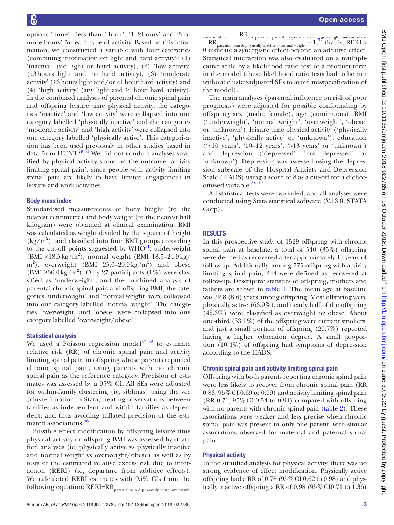options 'none', 'less than 1hour', '1–2hours' and '3 or more hours' for each type of activity. Based on this information, we constructed a variable with four categories (combining information on light and hard activity): (1) 'inactive' (no light or hard activity), (2) 'low activity' (<3hours light and no hard activity), (3) 'moderate activity' (≥3hours light and/or <1hour hard activity) and (4) 'high activity' (any light and ≥1hour hard activity). In the combined analyses of parental chronic spinal pain and offspring leisure time physical activity, the categories 'inactive' and 'low activity' were collapsed into one category labelled 'physically inactive' and the categories 'moderate activity' and 'high activity' were collapsed into one category labelled 'physically active'. This categorisation has been used previously in other studies based in data from  $HUNT<sup>29 30</sup>$  We did not conduct analyses stratified by physical activity status on the outcome 'activity limiting spinal pain', since people with activity limiting spinal pain are likely to have limited engagement in leisure and work activities.

## Body mass index

Standardised measurements of body height (to the nearest centimetre) and body weight (to the nearest half kilogram) were obtained at clinical examination. BMI was calculated as weight divided by the square of height (kg/m2 ), and classified into four BMI groups according to the cut-off points suggested by  $WHO^{31}$  $WHO^{31}$  $WHO^{31}$ : underweight (BMI <18.5 kg/m<sup>2</sup>), normal weight (BMI 18.5-24.9 kg/  $m<sup>2</sup>$ ), overweight (BMI 25.0–29.9 kg/m<sup>2</sup>) and obese (BMI ≥30.0 kg/m<sup>2</sup>). Only 27 participants (1%) were classified as 'underweight', and the combined analysis of parental chronic spinal pain and offspring BMI, the categories 'underweight' and 'normal weight' were collapsed into one category labelled 'normal weight'. The categories 'overweight' and 'obese' were collapsed into one category labelled 'overweight/obese'.

## Statistical analysis

We used a Poisson regression model<sup>32–35</sup> to estimate relative risk (RR) of chronic spinal pain and activity limiting spinal pain in offspring whose parents reported chronic spinal pain, using parents with no chronic spinal pain as the reference category. Precision of estimates was assessed by a 95% CI. All SEs were adjusted for within-family clustering (ie, siblings) using the vce (cluster) option in Stata, treating observations between families as independent and within families as dependent, and thus avoiding inflated precision of the estimated associations.[36](#page-6-19)

Possible effect modification by offspring leisure time physical activity or offspring BMI was assessed by stratified analyses (ie, physically active vs physically inactive and normal weight vs overweight/obese) as well as by tests of the estimated relative excess risk due to interaction (RERI) (ie, departure from additive effects). We calculated RERI estimates with 95% CIs from the following equation: RERI=RR<sub>parental</sub> pain & physically active/overweight

and/or obese –  $RR_{\text{no parental pain}}$  & physically activity/overweight and/or obese  $-RR$ <br>parental pain & physically inactivity/normal weight  $+1$ ,<sup>[37](#page-6-20)</sup> that is, RERI > 0 indicate a synergistic effect beyond an additive effect. Statistical interaction was also evaluated on a multiplicative scale by a likelihood ratio test of a product term in the model (these likelihood ratio tests had to be run without cluster-adjusted SEs to avoid misspecification of the model).

The main analyses (parental influence on risk of poor prognosis) were adjusted for possible confounding by offspring sex (male, female), age (continuous), BMI ('underweight', 'normal weight', 'overweight', 'obese' or 'unknown'), leisure time physical activity ('physically inactive', 'physically active' or 'unknown'), education  $('10 years', '10-12 years', '>13 years' or 'unknown')$ and depression ('depressed', 'not depressed' or 'unknown'). Depression was assessed using the depression subscale of the Hospital Anxiety and Depression Scale (HADS) using a score of 8 as a cut-off for a dichotomised variable.<sup>38-40</sup>

All statistical tests were two sided, and all analyses were conducted using Stata statistical software (V.13.0, STATA Corp).

# **RESULTS**

In this prospective study of 1529 offspring with chronic spinal pain at baseline, a total of 540 (35%) offspring were defined as recovered after approximately 11 years of follow-up. Additionally, among 775 offspring with activity limiting spinal pain, 244 were defined as recovered at follow-up. Descriptive statistics of offspring, mothers and fathers are shown in [table](#page-3-0) 1. The mean age at baseline was 32.8 (8.6) years among offspring. Most offspring were physically active (63.9%), and nearly half of the offspring (42.3%) were classified as overweight or obese. About one-third  $(33.1\%)$  of the offspring were current smokers, and just a small portion of offspring (20.7%) reported having a higher education degree. A small proportion (10.4%) of offspring had symptoms of depression according to the HADS.

## Chronic spinal pain and activity limiting spinal pain

Offspring with both parents reporting chronic spinal pain were less likely to recover from chronic spinal pain (RR  $0.83, 95\%$  CI 0.69 to 0.99) and activity limiting spinal pain  $(RR\ 0.71, 95\% \text{ CI } 0.54 \text{ to } 0.94)$  compared with offspring with no parents with chronic spinal pain ([table](#page-3-1) 2). These associations were weaker and less precise when chronic spinal pain was present in only one parent, with similar associations observed for maternal and paternal spinal pain.

## Physical activity

In the stratified analysis for physical activity, there was no strong evidence of effect modification. Physically active offspring had a RR of  $0.78$  ( $95\%$  CI  $0.62$  to  $0.98$ ) and physically inactive offspring a RR of 0.98 (95%CI0.71 to 1.36)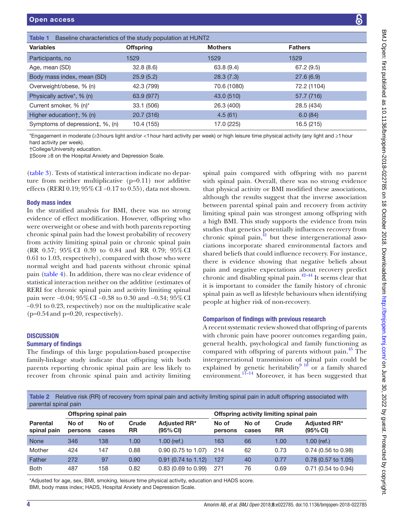<span id="page-3-0"></span>

| Table 1<br>Baseline characteristics of the study population at HUNT2                    |                  |                                                                                                                                              |                |  |  |  |  |
|-----------------------------------------------------------------------------------------|------------------|----------------------------------------------------------------------------------------------------------------------------------------------|----------------|--|--|--|--|
| Variables                                                                               | <b>Offspring</b> | <b>Mothers</b>                                                                                                                               | <b>Fathers</b> |  |  |  |  |
| Participants, no                                                                        | 1529             | 1529                                                                                                                                         | 1529           |  |  |  |  |
| Age, mean (SD)                                                                          | 32.8(8.6)        | 63.8(9.4)                                                                                                                                    | 67.2(9.5)      |  |  |  |  |
| Body mass index, mean (SD)                                                              | 25.9(5.2)        | 28.3(7.3)                                                                                                                                    | 27.6(6.9)      |  |  |  |  |
| Overweight/obese, % (n)                                                                 | 42.3 (799)       | 70.6 (1080)                                                                                                                                  | 72.2 (1104)    |  |  |  |  |
| Physically active*, % (n)                                                               | 63.9 (977)       | 43.0 (510)                                                                                                                                   | 57.7 (716)     |  |  |  |  |
| Current smoker, % (n)*                                                                  | 33.1 (506)       | 26.3 (400)                                                                                                                                   | 28.5 (434)     |  |  |  |  |
| Higher education†, % (n)                                                                | 20.7 (316)       | 4.5(61)                                                                                                                                      | 6.0(84)        |  |  |  |  |
| Symptoms of depression‡, %, (n)                                                         | 10.4 (155)       | 17.0 (225)                                                                                                                                   | 16.5 (215)     |  |  |  |  |
| hard activity per week).<br>$+\cap$ allaaa $\wedge$ lah $\cdots$ alt $\cdots$ adusatisa |                  | *Engagement in moderate (≥3 hours light and/or <1 hour hard activity per week) or high leisure time physical activity (any light and ≥1 hour |                |  |  |  |  |

†College/University education.

‡Score ≥8 on the Hospital Anxiety and Depression Scale.

([table](#page-4-0) 3). Tests of statistical interaction indicate no departure from neither multiplicative (p=0.11) nor additive effects (RERI 0.19; 95%CI −0.17 to 0.55), data not shown.

#### Body mass index

In the stratified analysis for BMI, there was no strong evidence of effect modification. However, offspring who were overweight or obese and with both parents reporting chronic spinal pain had the lowest probability of recovery from activity limiting spinal pain or chronic spinal pain (RR 0.57; 95%CI 0.39 to 0.84 and RR 0.79; 95%CI 0.61 to 1.03, respectively), compared with those who were normal weight and had parents without chronic spinal pain ([table](#page-4-1) 4). In addition, there was no clear evidence of statistical interaction neither on the additive (estimates of RERI for chronic spinal pain and activity limiting spinal pain were −0.04; 95% CI −0.38 to 0.30 and −0.34; 95% CI −0.91 to 0.23, respectively) nor on the multiplicative scale  $(p=0.54$  and  $p=0.20$ , respectively).

## **DISCUSSION**

## Summary of findings

The findings of this large population-based prospective family-linkage study indicate that offspring with both parents reporting chronic spinal pain are less likely to recover from chronic spinal pain and activity limiting

spinal pain compared with offspring with no parent with spinal pain. Overall, there was no strong evidence that physical activity or BMI modified these associations, although the results suggest that the inverse association between parental spinal pain and recovery from activity limiting spinal pain was strongest among offspring with a high BMI. This study supports the evidence from twin studies that genetics potentially influences recovery from chronic spinal pain, ${}^{41}$  but these intergenerational associations incorporate shared environmental factors and shared beliefs that could influence recovery. For instance, there is evidence showing that negative beliefs about pain and negative expectations about recovery predict chronic and disabling spinal pain. $42-44$  It seems clear that it is important to consider the family history of chronic spinal pain as well as lifestyle behaviours when identifying people at higher risk of non-recovery.

## Comparison of findings with previous research

A recent systematic review showed that offspring of parents with chronic pain have poorer outcomes regarding pain, general health, psychological and family functioning as compared with offspring of parents without pain.<sup>45</sup> The intergenerational transmission of spinal pain could be explained by genetic heritability<sup>[9 10](#page-6-6)</sup> or a family shared environment. $11-14}$  Moreover, it has been suggested that

<span id="page-3-1"></span>Table 2 Relative risk (RR) of recovery from spinal pain and activity limiting spinal pain in adult offspring associated with parental spinal pain

|                                | Offspring spinal pain |                |                    |                                 | Offspring activity limiting spinal pain |                |                    |                                 |  |
|--------------------------------|-----------------------|----------------|--------------------|---------------------------------|-----------------------------------------|----------------|--------------------|---------------------------------|--|
| <b>Parental</b><br>spinal pain | No of<br>persons      | No of<br>cases | Crude<br><b>RR</b> | <b>Adjusted RR*</b><br>(95% CI) | No of<br>persons                        | No of<br>cases | Crude<br><b>RR</b> | <b>Adjusted RR*</b><br>(95% CI) |  |
| <b>None</b>                    | 346                   | 138            | 1.00               | $1.00$ (ref.)                   | 163                                     | 66             | 1.00               | $1.00$ (ref.)                   |  |
| Mother                         | 424                   | 147            | 0.88               | 0.90 (0.75 to 1.07)             | 214                                     | 62             | 0.73               | 0.74 (0.56 to 0.98)             |  |
| Father                         | 272                   | 97             | 0.90               | $0.91$ (0.74 to 1.12)           | 127                                     | 40             | 0.77               | $0.78$ (0.57 to 1.05)           |  |
| <b>Both</b>                    | 487                   | 158            | 0.82               | $0.83$ (0.69 to 0.99)           | 271                                     | 76             | 0.69               | 0.71 (0.54 to 0.94)             |  |

\*Adjusted for age, sex, BMI, smoking, leisure time physical activity, education and HADS score. BMI, body mass index; HADS, Hospital Anxiety and Depression Scale.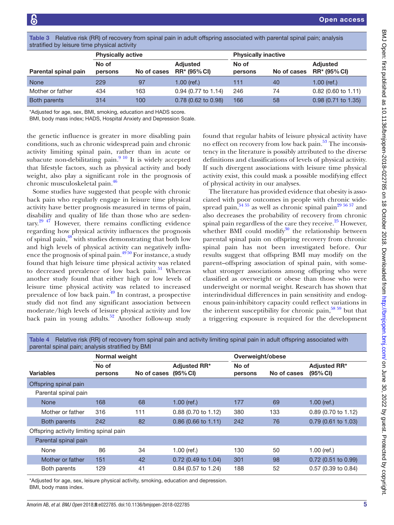<span id="page-4-0"></span>Table 3 Relative risk (RR) of recovery from spinal pain in adult offspring associated with parental spinal pain; analysis stratified by leisure time physical activity

| <b>Physically active</b> |             |                                        | <b>Physically inactive</b> |             |                                        |  |  |  |
|--------------------------|-------------|----------------------------------------|----------------------------|-------------|----------------------------------------|--|--|--|
| No of<br>persons         | No of cases | <b>Adjusted</b><br><b>RR* (95% CI)</b> | No of<br>persons           | No of cases | <b>Adjusted</b><br><b>RR* (95% CI)</b> |  |  |  |
| 229                      | 97          | 1.00 (ref.)                            | 111                        | 40          | $1.00$ (ref.)                          |  |  |  |
| 434                      | 163         | $0.94$ (0.77 to 1.14)                  | 246                        | 74          | $0.82$ (0.60 to 1.11)                  |  |  |  |
| 314                      | 100         | $0.78$ (0.62 to 0.98)                  | 166                        | 58          | $0.98$ (0.71 to 1.35)                  |  |  |  |
|                          |             |                                        |                            |             |                                        |  |  |  |

\*Adjusted for age, sex, BMI, smoking, education and HADS score.

BMI, body mass index; HADS, Hospital Anxiety and Depression Scale.

the genetic influence is greater in more disabling pain conditions, such as chronic widespread pain and chronic activity limiting spinal pain, rather than in acute or subacute non-debilitating pain. $910$  It is widely accepted that lifestyle factors, such as physical activity and body weight, also play a significant role in the prognosis of chronic musculoskeletal pain[.46](#page-6-25)

Some studies have suggested that people with chronic back pain who regularly engage in leisure time physical activity have better prognosis measured in terms of pain, disability and quality of life than those who are sedentary.[29 47](#page-6-16) However, there remains conflicting evidence regarding how physical activity influences the prognosis of spinal pain, $^{48}$  with studies demonstrating that both low and high levels of physical activity can negatively influence the prognosis of spinal pain. $49\overline{50}$  For instance, a study found that high leisure time physical activity was related to decreased prevalence of low back pain.<sup>51</sup> Whereas another study found that either high or low levels of leisure time physical activity was related to increased prevalence of low back pain.[49](#page-7-1) In contrast, a prospective study did not find any significant association between moderate/high levels of leisure physical activity and low back pain in young adults. $52$  Another follow-up study found that regular habits of leisure physical activity have no effect on recovery from low back pain.<sup>53</sup> The inconsistency in the literature is possibly attributed to the diverse definitions and classifications of levels of physical activity. If such divergent associations with leisure time physical activity exist, this could mask a possible modifying effect of physical activity in our analyses.

The literature has provided evidence that obesity is associated with poor outcomes in people with chronic widespread pain,  $54\frac{54}{55}$  as well as chronic spinal pain<sup>29 56 57</sup> and also decreases the probability of recovery from chronic spinal pain regardless of the care they receive. $^{25}$  $^{25}$  $^{25}$  However, whether BMI could modify $30$  the relationship between parental spinal pain on offspring recovery from chronic spinal pain has not been investigated before. Our results suggest that offspring BMI may modify on the parent–offspring association of spinal pain, with somewhat stronger associations among offspring who were classified as overweight or obese than those who were underweight or normal weight. Research has shown that interindividual differences in pain sensitivity and endogenous pain-inhibitory capacity could reflect variations in the inherent susceptibility for chronic pain,  $58\,59$  but that a triggering exposure is required for the development

<span id="page-4-1"></span>

| Table 4 Relative risk (RR) of recovery from spinal pain and activity limiting spinal pain in adult offspring associated with |  |
|------------------------------------------------------------------------------------------------------------------------------|--|
| parental spinal pain; analysis stratified by BMI                                                                             |  |

|                                         | <b>Normal weight</b> |                      |                       | Overweight/obese |             |                                             |  |
|-----------------------------------------|----------------------|----------------------|-----------------------|------------------|-------------|---------------------------------------------|--|
| <b>Variables</b>                        | No of<br>persons     | No of cases (95% CI) | <b>Adjusted RR*</b>   | No of<br>persons | No of cases | <b>Adjusted RR*</b><br>$(95% \, \text{Cl})$ |  |
| Offspring spinal pain                   |                      |                      |                       |                  |             |                                             |  |
| Parental spinal pain                    |                      |                      |                       |                  |             |                                             |  |
| <b>None</b>                             | 168                  | 68                   | $1.00$ (ref.)         | 177              | 69          | $1.00$ (ref.)                               |  |
| Mother or father                        | 316                  | 111                  | 0.88 (0.70 to 1.12)   | 380              | 133         | 0.89 (0.70 to 1.12)                         |  |
| Both parents                            | 242                  | 82                   | $0.86$ (0.66 to 1.11) | 242              | 76          | $0.79$ (0.61 to 1.03)                       |  |
| Offspring activity limiting spinal pain |                      |                      |                       |                  |             |                                             |  |
| Parental spinal pain                    |                      |                      |                       |                  |             |                                             |  |
| None                                    | 86                   | 34                   | $1.00$ (ref.)         | 130              | 50          | $1.00$ (ref.)                               |  |
| Mother or father                        | 151                  | 42                   | $0.72$ (0.49 to 1.04) | 301              | 98          | $0.72$ (0.51 to 0.99)                       |  |
| Both parents                            | 129                  | 41                   | 0.84 (0.57 to 1.24)   | 188              | 52          | 0.57 (0.39 to 0.84)                         |  |

\*Adjusted for age, sex, leisure physical activity, smoking, education and depression. BMI, body mass index.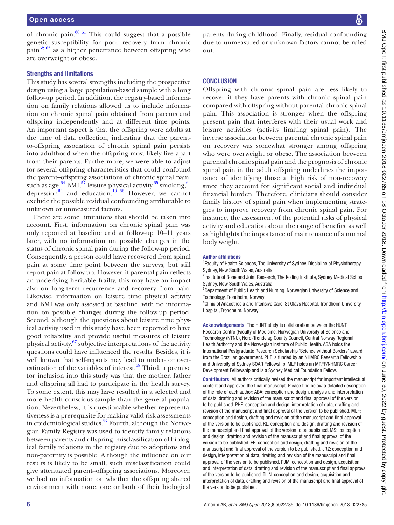of chronic pain. $60 \text{ } 61$  This could suggest that a possible genetic susceptibility for poor recovery from chronic pain $62\,63$  as a higher penetrance between offspring who are overweight or obese.

## Strengths and limitations

This study has several strengths including the prospective design using a large population-based sample with a long follow-up period. In addition, the registry-based information on family relations allowed us to include information on chronic spinal pain obtained from parents and offspring independently and at different time points. An important aspect is that the offspring were adults at the time of data collection, indicating that the parentto-offspring association of chronic spinal pain persists into adulthood when the offspring most likely live apart from their parents. Furthermore, we were able to adjust for several offspring characteristics that could confound the parent–offspring associations of chronic spinal pain, such as age, $^{64}$  BMI, $^{57}$  $^{57}$  $^{57}$  leisure physical activity, $^{65}$  smoking, $^{64}$ depression $^{64}$  and education.<sup>10 66</sup> However, we cannot exclude the possible residual confounding attributable to unknown or unmeasured factors.

There are some limitations that should be taken into account. First, information on chronic spinal pain was only reported at baseline and at follow-up 10–11 years later, with no information on possible changes in the status of chronic spinal pain during the follow-up period. Consequently, a person could have recovered from spinal pain at some time point between the surveys, but still report pain at follow-up. However, if parental pain reflects an underlying heritable frailty, this may have an impact also on long-term recurrence and recovery from pain. Likewise, information on leisure time physical activity and BMI was only assessed at baseline, with no information on possible changes during the follow-up period. Second, although the questions about leisure time physical activity used in this study have been reported to have good reliability and provide useful measures of leisure physical activity, $67$  subjective interpretations of the activity questions could have influenced the results. Besides, it is well known that self-reports may lead to under- or overestimation of the variables of interest. $68$  Third, a premise for inclusion into this study was that the mother, father and offspring all had to participate in the health survey. To some extent, this may have resulted in a selected and more health conscious sample than the general population. Nevertheless, it is questionable whether representativeness is a prerequisite for making valid risk assessments in epidemiological studies.<sup>57</sup> Fourth, although the Norwegian Family Registry was used to identify family relations between parents and offspring, misclassification of biological family relations in the registry due to adoptions and non-paternity is possible. Although the influence on our results is likely to be small, such misclassification could give attenuated parent–offspring associations. Moreover, we had no information on whether the offspring shared environment with none, one or both of their biological parents during childhood. Finally, residual confounding due to unmeasured or unknown factors cannot be ruled out.

# **CONCLUSION**

Offspring with chronic spinal pain are less likely to recover if they have parents with chronic spinal pain compared with offspring without parental chronic spinal pain. This association is stronger when the offspring present pain that interferes with their usual work and leisure activities (activity limiting spinal pain). The inverse association between parental chronic spinal pain on recovery was somewhat stronger among offspring who were overweight or obese. The association between parental chronic spinal pain and the prognosis of chronic spinal pain in the adult offspring underlines the importance of identifying those at high risk of non-recovery since they account for significant social and individual financial burden. Therefore, clinicians should consider family history of spinal pain when implementing strategies to improve recovery from chronic spinal pain. For instance, the assessment of the potential risks of physical activity and education about the range of benefits, as well as highlights the importance of maintenance of a normal body weight.

#### Author affiliations

<sup>1</sup> Faculty of Health Sciences, The University of Sydney, Discipline of Physiotherapy, Sydney, New South Wales, Australia

<sup>2</sup>Institute of Bone and Joint Research, The Kolling Institute, Sydney Medical School, Sydney, New South Wales, Australia

<sup>3</sup>Department of Public Health and Nursing, Norwegian University of Science and Technology, Trondheim, Norway

<sup>4</sup> Clinic of Anaesthesia and Intensive Care, St Olavs Hospital, Trondheim University Hospital, Trondheim, Norway

Acknowledgements The HUNT study is collaboration between the HUNT Research Centre (Faculty of Medicine, Norwegian University of Science and Technology (NTNU), Nord-Trøndelag County Council, Central Norway Regional Health Authority and the Norwegian Institute of Public Health. ABA holds the International Postgraduate Research Scholarship 'Science without Borders' award from the Brazilian government. PHF is funded by an NHMRC Research Fellowship and University of Sydney SOAR Fellowship. MLF holds an MRFF/NHMRC Career Development Fellowship and is a Sydney Medical Foundation Fellow.

Contributors All authors critically revised the manuscript for important intellectual content and approved the final manuscript. Please find below a detailed description of the role of each author: ABA: conception and design, analysis and interpretation of data, drafting and revision of the manuscript and final approval of the version to be published. PHF: conception and design, interpretation of data, drafting and revision of the manuscript and final approval of the version to be published. MLF: conception and design, drafting and revision of the manuscript and final approval of the version to be published. RL: conception and design, drafting and revision of the manuscript and final approval of the version to be published. MS: conception and design, drafting and revision of the manuscript and final approval of the version to be published. EP: conception and design, drafting and revision of the manuscript and final approval of the version to be published. JRZ: conception and design, interpretation of data, drafting and revision of the manuscript and final approval of the version to be published. PJM: conception and design, acquisition and interpretation of data, drafting and revision of the manuscript and final approval of the version to be published. TILN: conception and design, acquisition and interpretation of data, drafting and revision of the manuscript and final approval of the version to be published.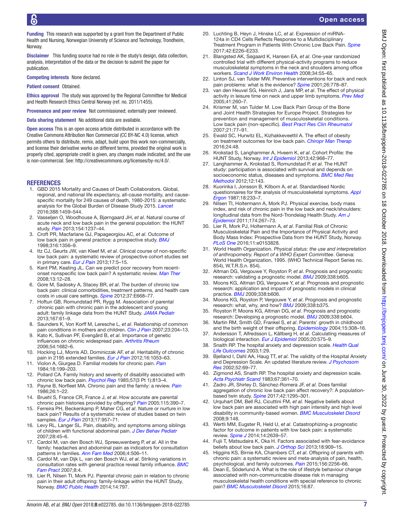Open access

Funding This research was supported by a grant from the Department of Public Health and Nursing, Norwegian University of Science and Technology, Trondheim, **Norway** 

Disclaimer This funding source had no role in the study's design, data collection, analysis, interpretation of the data or the decision to submit the paper for publication.

Competing interests None declared.

Patient consent Obtained.

Ethics approval The study was approved by the Regional Committee for Medical and Health Research Ethics Central Norway (ref. no. 2011/1455).

Provenance and peer review Not commissioned; externally peer reviewed.

Data sharing statement No additional data are available.

Open access This is an open access article distributed in accordance with the Creative Commons Attribution Non Commercial (CC BY-NC 4.0) license, which permits others to distribute, remix, adapt, build upon this work non-commercially, and license their derivative works on different terms, provided the original work is properly cited, appropriate credit is given, any changes made indicated, and the use is non-commercial. See: <http://creativecommons.org/licenses/by-nc/4.0/>.

#### **REFERENCES**

- <span id="page-6-0"></span>1. GBD 2015 Mortality and Causes of Death Collaborators. Global, regional, and national life expectancy, all-cause mortality, and causespecific mortality for 249 causes of death, 1980-2015: a systematic analysis for the Global Burden of Disease Study 2015. *[Lancet](http://dx.doi.org/10.1016/S0140-6736(16)31012-1)* 2016;388:1459–544.
- <span id="page-6-1"></span>2. Vasseljen O, Woodhouse A, Bjørngaard JH, *et al*. Natural course of acute neck and low back pain in the general population: the HUNT study. *[Pain](http://dx.doi.org/10.1016/j.pain.2013.03.032)* 2013;154:1237–44.
- <span id="page-6-2"></span>3. Croft PR, Macfarlane GJ, Papageorgiou AC, *et al*. Outcome of low back pain in general practice: a prospective study. *[BMJ](http://dx.doi.org/10.1136/bmj.316.7141.1356)* 1998;316:1356–9.
- 4. Itz CJ, Geurts JW, van Kleef M, *et al*. Clinical course of non-specific low back pain: a systematic review of prospective cohort studies set in primary care. *[Eur J Pain](http://dx.doi.org/10.1002/j.1532-2149.2012.00170.x)* 2013;17:5–15.
- <span id="page-6-3"></span>5. Kent PM, Keating JL. Can we predict poor recovery from recentonset nonspecific low back pain? A systematic review. *[Man Ther](http://dx.doi.org/10.1016/j.math.2007.05.009)* 2008;13:12–28.
- <span id="page-6-4"></span>6. Gore M, Sadosky A, Stacey BR, *et al*. The burden of chronic low back pain: clinical comorbidities, treatment patterns, and health care costs in usual care settings. *[Spine](http://dx.doi.org/10.1097/BRS.0b013e318241e5de)* 2012;37:E668–77.
- <span id="page-6-5"></span>7. Hoftun GB, Romundstad PR, Rygg M. Association of parental chronic pain with chronic pain in the adolescent and young adult: family linkage data from the HUNT Study. *[JAMA Pediatr](http://dx.doi.org/10.1001/jamapediatrics.2013.422)* 2013;167:61–9.
- <span id="page-6-9"></span>8. Saunders K, Von Korff M, Leresche L, *et al*. Relationship of common pain conditions in mothers and children. *[Clin J Pain](http://dx.doi.org/10.1097/AJP.0b013e31802d7807)* 2007;23:204–13.
- <span id="page-6-6"></span>9. Kato K, Sullivan PF, Evengård B, *et al*. Importance of genetic influences on chronic widespread pain. *[Arthritis Rheum](http://dx.doi.org/10.1002/art.21798)* 2006;54:1682–6.
- <span id="page-6-8"></span>10. Hocking LJ, Morris AD, Dominiczak AF, *et al*. Heritability of chronic pain in 2195 extended families. *[Eur J Pain](http://dx.doi.org/10.1002/j.1532-2149.2011.00095.x)* 2012;16:1053–63.
- <span id="page-6-7"></span>11. Violon A, Giurgea D. Familial models for chronic pain. *[Pain](http://dx.doi.org/10.1016/0304-3959(84)90887-X)* 1984;18:199–203.
- 12. Pollard CA. Family history and severity of disability associated with chronic low back pain. *[Psychol Rep](http://dx.doi.org/10.2466/pr0.1985.57.3.813)* 1985;57(3 Pt 1):813–4.
- 13. Payne B, Norfleet MA. Chronic pain and the family: a review. *[Pain](http://dx.doi.org/10.1016/0304-3959(86)90169-7)* 1986;26:1–22.
- 14. Bruehl S, France CR, France J, *et al*. How accurate are parental chronic pain histories provided by offspring? *[Pain](http://dx.doi.org/10.1016/j.pain.2005.03.017)* 2005;115:390–7.
- 15. Ferreira PH, Beckenkamp P, Maher CG, *et al*. Nature or nurture in low back pain? Results of a systematic review of studies based on twin samples. *[Eur J Pain](http://dx.doi.org/10.1002/j.1532-2149.2012.00277.x)* 2013;17:957–71.
- 16. Levy RL, Langer SL. Pain, disability, and symptoms among siblings of children with functional abdominal pain. *[J Dev Behav Pediatr](http://dx.doi.org/10.1097/DBP.0b013e31803084a6)* 2007;28:45–6.
- <span id="page-6-10"></span>17. Cardol M, van den Bosch WJ, Spreeuwenberg P, *et al*. All in the family: headaches and abdominal pain as indicators for consultation patterns in families. *[Ann Fam Med](http://dx.doi.org/10.1370/afm.584)* 2006;4:506–11.
- 18. Cardol M, van Dijk L, van den Bosch WJ, *et al*. Striking variations in consultation rates with general practice reveal family influence. *[BMC](http://dx.doi.org/10.1186/1471-2296-8-4)  [Fam Pract](http://dx.doi.org/10.1186/1471-2296-8-4)* 2007;8:4.
- <span id="page-6-11"></span>19. Lier R, Nilsen TI, Mork PJ. Parental chronic pain in relation to chronic pain in their adult offspring: family-linkage within the HUNT Study, Norway. *[BMC Public Health](http://dx.doi.org/10.1186/1471-2458-14-797)* 2014;14:797.
- <span id="page-6-12"></span>20. Luchting B, Heyn J, Hinske LC, *et al*. Expression of miRNA-124a in CD4 Cells Reflects Response to a Multidisciplinary Treatment Program in Patients With Chronic Low Back Pain. *[Spine](http://dx.doi.org/10.1097/BRS.0000000000001763)* 2017;42:E226–E233.
- <span id="page-6-13"></span>21. Blangsted AK, Søgaard K, Hansen EA, *et al*. One-year randomized controlled trial with different physical-activity programs to reduce musculoskeletal symptoms in the neck and shoulders among office workers. *[Scand J Work Environ Health](http://dx.doi.org/10.5271/sjweh.1192)* 2008;34:55–65.
- 22. Linton SJ, van Tulder MW. Preventive interventions for back and neck pain problems: what is the evidence? *[Spine](http://www.ncbi.nlm.nih.gov/pubmed/11295900)* 2001;26:778–87.
- 23. van den Heuvel SG, Heinrich J, Jans MP, *et al*. The effect of physical activity in leisure time on neck and upper limb symptoms. *[Prev Med](http://dx.doi.org/10.1016/j.ypmed.2004.11.006)* 2005;41:260–7.
- 24. Krismer M, van Tulder M. Low Back Pain Group of the Bone and Joint Health Strategies for Europe Project. Strategies for prevention and management of musculoskeletal conditions. Low back pain (non-specific). *[Best Pract Res Clin Rheumatol](http://dx.doi.org/10.1016/j.berh.2006.08.004)* 2007;21:77–91.
- <span id="page-6-26"></span>25. Ewald SC, Hurwitz EL, Kizhakkeveettil A. The effect of obesity on treatment outcomes for low back pain. *[Chiropr Man Therap](http://dx.doi.org/10.1186/s12998-016-0129-4)* 2016;24:48.
- <span id="page-6-14"></span>26. Krokstad S, Langhammer A, Hveem K, *et al*. Cohort Profile: the HUNT Study, Norway. *[Int J Epidemiol](http://dx.doi.org/10.1093/ije/dys095)* 2013;42:968–77.
- 27. Langhammer A, Krokstad S, Romundstad P, *et al*. The HUNT study: participation is associated with survival and depends on socioeconomic status, diseases and symptoms. *[BMC Med Res](http://dx.doi.org/10.1186/1471-2288-12-143)  [Methodol](http://dx.doi.org/10.1186/1471-2288-12-143)* 2012;12:143.
- <span id="page-6-15"></span>28. Kuorinka I, Jonsson B, Kilbom A, *et al*. Standardised Nordic questionnaires for the analysis of musculoskeletal symptoms. *[Appl](http://dx.doi.org/10.1016/0003-6870(87)90010-X)  [Ergon](http://dx.doi.org/10.1016/0003-6870(87)90010-X)* 1987;18:233–7.
- <span id="page-6-16"></span>29. Nilsen TI, Holtermann A, Mork PJ. Physical exercise, body mass index, and risk of chronic pain in the low back and neck/shoulders: longitudinal data from the Nord-Trondelag Health Study. *[Am J](http://dx.doi.org/10.1093/aje/kwr087)  [Epidemiol](http://dx.doi.org/10.1093/aje/kwr087)* 2011;174:267–73.
- <span id="page-6-27"></span>30. Lier R, Mork PJ, Holtermann A, *et al*. Familial Risk of Chronic Musculoskeletal Pain and the Importance of Physical Activity and Body Mass Index: Prospective Data from the HUNT Study, Norway. *[PLoS One](http://dx.doi.org/10.1371/journal.pone.0153828)* 2016;11:e0153828.
- <span id="page-6-17"></span>31. World Health Organization. *Physical status: the use and interpretation of anthropometry. Report of a WHO Expert Committee*. Geneva: World Health Organization, 1995. (WHO Technical Report Series no. 854), W.T.R.S.n. 854).
- <span id="page-6-18"></span>32. Altman DG, Vergouwe Y, Royston P, *et al*. Prognosis and prognostic research: validating a prognostic model. *[BMJ](http://dx.doi.org/10.1136/bmj.b605)* 2009;338:b605.
- 33. Moons KG, Altman DG, Vergouwe Y, *et al*. Prognosis and prognostic research: application and impact of prognostic models in clinical practice. *[BMJ](http://dx.doi.org/10.1136/bmj.b606)* 2009;338:b606.
- 34. Moons KG, Royston P, Vergouwe Y, *et al*. Prognosis and prognostic research: what, why, and how? *[BMJ](http://dx.doi.org/10.1136/bmj.b375)* 2009;338:b375.
- 35. Royston P, Moons KG, Altman DG, *et al*. Prognosis and prognostic research: Developing a prognostic model. *[BMJ](http://dx.doi.org/10.1136/bmj.b604)* 2009;338:b604.
- <span id="page-6-19"></span>36. Martin RM, Smith GD, Frankel S, *et al*. Parents' growth in childhood and the birth weight of their offspring. *[Epidemiology](http://dx.doi.org/10.1097/01.ede.0000120042.16363.e3)* 2004;15:308–16.
- <span id="page-6-20"></span>37. Andersson T, Alfredsson L, Källberg H, *et al*. Calculating measures of biological interaction. *[Eur J Epidemiol](http://dx.doi.org/10.1007/s10654-005-7835-x)* 2005;20:575–9.
- <span id="page-6-21"></span>38. Snaith RP. The hospital anxiety and depression scale. *[Health Qual](http://dx.doi.org/10.1186/1477-7525-1-29)  [Life Outcomes](http://dx.doi.org/10.1186/1477-7525-1-29)* 2003;1:29.
- 39. Bjelland I, Dahl AA, Haug TT, *et al*. The validity of the Hospital Anxiety and Depression Scale. An updated literature review. *[J Psychosom](http://www.ncbi.nlm.nih.gov/pubmed/11832252)  [Res](http://www.ncbi.nlm.nih.gov/pubmed/11832252)* 2002;52:69–77.
- 40. Zigmond AS, Snaith RP. The hospital anxiety and depression scale. *[Acta Psychiatr Scand](http://dx.doi.org/10.1111/j.1600-0447.1983.tb09716.x)* 1983;67:361–70.
- <span id="page-6-22"></span>41. Zadro JR, Shirley D, Sánchez-Romera JF, *et al*. Does familial aggregation of chronic low back pain affect recovery?: A populationbased twin study. *[Spine](http://dx.doi.org/10.1097/BRS.0000000000002075)* 2017;42:1295–301.
- <span id="page-6-23"></span>42. Urquhart DM, Bell RJ, Cicuttini FM, *et al*. Negative beliefs about low back pain are associated with high pain intensity and high level disability in community-based women. *[BMC Musculoskelet Disord](http://dx.doi.org/10.1186/1471-2474-9-148)* 2008;9:148.
- 43. Wertli MM, Eugster R, Held U, *et al*. Catastrophizing-a prognostic factor for outcome in patients with low back pain: a systematic review. *[Spine J](http://dx.doi.org/10.1016/j.spinee.2014.03.003)* 2014;14:2639–57.
- 44. Fujii T, Matsudaira K, Oka H. Factors associated with fear-avoidance beliefs about low back pain. *[J Orthop Sci](http://dx.doi.org/10.1007/s00776-013-0448-4)* 2013;18:909–15.
- <span id="page-6-24"></span>45. Higgins KS, Birnie KA, Chambers CT, *et al*. Offspring of parents with chronic pain: a systematic review and meta-analysis of pain, health, psychological, and family outcomes. *[Pain](http://dx.doi.org/10.1097/j.pain.0000000000000293)* 2015;156:2256–66.
- <span id="page-6-25"></span>46. Dean E, Söderlund A. What is the role of lifestyle behaviour change associated with non-communicable disease risk in managing musculoskeletal health conditions with special reference to chronic pain? *[BMC Musculoskelet Disord](http://dx.doi.org/10.1186/s12891-015-0545-y)* 2015;16:87.